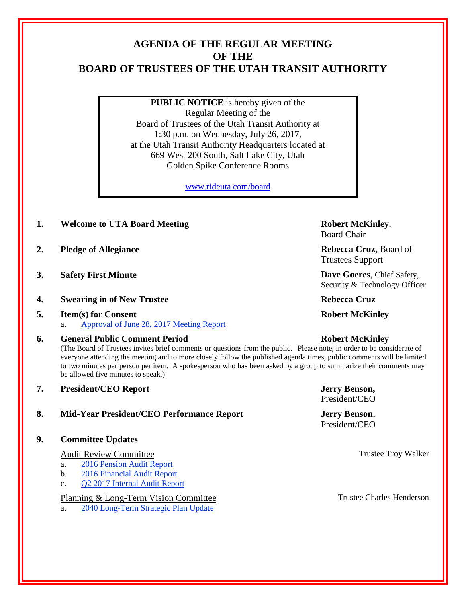# **AGENDA OF THE REGULAR MEETING OF THE BOARD OF TRUSTEES OF THE UTAH TRANSIT AUTHORITY**

**PUBLIC NOTICE** is hereby given of the Regular Meeting of the Board of Trustees of the Utah Transit Authority at 1:30 p.m. on Wednesday, July 26, 2017, at the Utah Transit Authority Headquarters located at 669 West 200 South, Salt Lake City, Utah Golden Spike Conference Rooms

[www.rideuta.com/board](http://www.rideuta.com/board)

- **1. Welcome to UTA Board Meeting Robert McKinley**,
- **2. Pledge of Allegiance Rebecca Cruz, Board of Allegiance**
- **3. Safety First Minute Dave Goeres**, Chief Safety,
- **4.** Swearing in of New Trustee **Rebecca Cruz** Rebecca Cruz
- **5. Item(s) for Consent Robert McKinley** a. Approval of June 28, 2017 Meeting Report

# **6. General Public Comment Period Robert McKinley**

(The Board of Trustees invites brief comments or questions from the public. Please note, in order to be considerate of everyone attending the meeting and to more closely follow the published agenda times, public comments will be limited to two minutes per person per item. A spokesperson who has been asked by a group to summarize their comments may be allowed five minutes to speak.)

**7. President/CEO Report Jerry Benson,** 

# **8. Mid-Year President/CEO Performance Report Jerry Benson,**

**9. Committee Updates**

# Audit Review Committee Troy Walker

- a. 2016 Pension Audit Report
- b. 2016 Financial Audit Report
- c. Q2 2017 Internal Audit Report

# Planning & Long-Term Vision Committee Trustee Charles Henderson

a. 2040 Long-Term Strategic Plan Update

Board Chair

Trustees Support

Security & Technology Officer

President/CEO

President/CEO